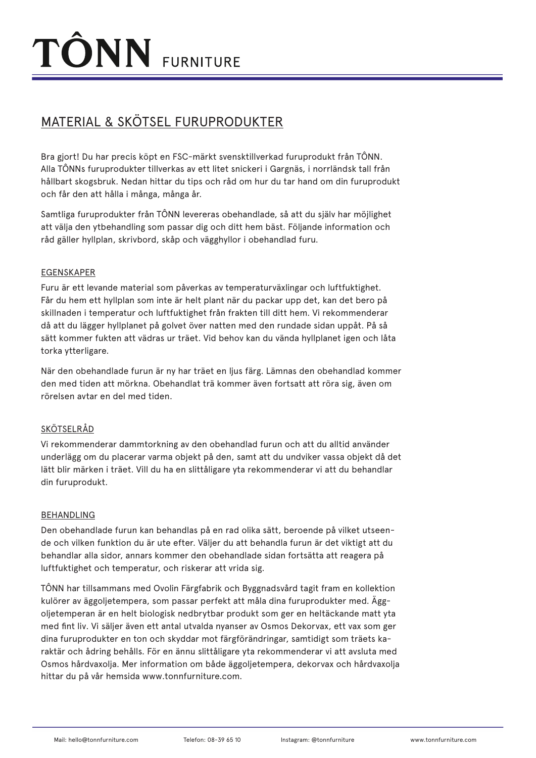## MATERIAL & SKÖTSEL FURUPRODUKTER

Bra gjort! Du har precis köpt en FSC-märkt svensktillverkad furuprodukt från TÔNN. Alla TÔNNs furuprodukter tillverkas av ett litet snickeri i Gargnäs, i norrländsk tall från hållbart skogsbruk. Nedan hittar du tips och råd om hur du tar hand om din furuprodukt och får den att hålla i många, många år.

Samtliga furuprodukter från TÔNN levereras obehandlade, så att du själv har möjlighet att välja den ytbehandling som passar dig och ditt hem bäst. Följande information och råd gäller hyllplan, skrivbord, skåp och vägghyllor i obehandlad furu.

### EGENSKAPER

Furu är ett levande material som påverkas av temperaturväxlingar och luftfuktighet. Får du hem ett hyllplan som inte är helt plant när du packar upp det, kan det bero på skillnaden i temperatur och luftfuktighet från frakten till ditt hem. Vi rekommenderar då att du lägger hyllplanet på golvet över natten med den rundade sidan uppåt. På så sätt kommer fukten att vädras ur träet. Vid behov kan du vända hyllplanet igen och låta torka ytterligare.

När den obehandlade furun är ny har träet en ljus färg. Lämnas den obehandlad kommer den med tiden att mörkna. Obehandlat trä kommer även fortsatt att röra sig, även om rörelsen avtar en del med tiden.

### SKÖTSELRÅD

Vi rekommenderar dammtorkning av den obehandlad furun och att du alltid använder underlägg om du placerar varma objekt på den, samt att du undviker vassa objekt då det lätt blir märken i träet. Vill du ha en slittåligare yta rekommenderar vi att du behandlar din furuprodukt.

#### BEHANDLING

Den obehandlade furun kan behandlas på en rad olika sätt, beroende på vilket utseende och vilken funktion du är ute efter. Väljer du att behandla furun är det viktigt att du behandlar alla sidor, annars kommer den obehandlade sidan fortsätta att reagera på luftfuktighet och temperatur, och riskerar att vrida sig.

TÔNN har tillsammans med Ovolin Färgfabrik och Byggnadsvård tagit fram en kollektion kulörer av äggoljetempera, som passar perfekt att måla dina furuprodukter med. Äggoljetemperan är en helt biologisk nedbrytbar produkt som ger en heltäckande matt yta med fint liv. Vi säljer även ett antal utvalda nyanser av Osmos Dekorvax, ett vax som ger dina furuprodukter en ton och skyddar mot färgförändringar, samtidigt som träets karaktär och ådring behålls. För en ännu slittåligare yta rekommenderar vi att avsluta med Osmos hårdvaxolja. Mer information om både äggoljetempera, dekorvax och hårdvaxolja hittar du på vår hemsida www.tonnfurniture.com.